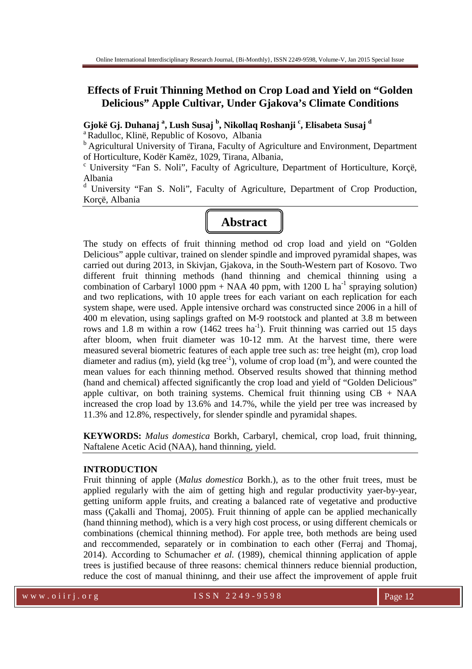# **Effects of Fruit Thinning Method on Crop Load and Yield on "Golden Delicious" Apple Cultivar, Under Gjakova's Climate Conditions**

**Gjokë Gj. Duhanaj <sup>a</sup> , Lush Susaj <sup>b</sup> , Nikollaq Roshanji <sup>c</sup> , Elisabeta Susaj <sup>d</sup>**

<sup>a</sup> Radulloc, Klinë, Republic of Kosovo, Albania

<sup>b</sup> Agricultural University of Tirana, Faculty of Agriculture and Environment, Department of Horticulture, Kodër Kamëz, 1029, Tirana, Albania,

<sup>c</sup> University "Fan S. Noli", Faculty of Agriculture, Department of Horticulture, Korçë, Albania

<sup>d</sup> University "Fan S. Noli", Faculty of Agriculture, Department of Crop Production, Korcë, Albania



The study on effects of fruit thinning method od crop load and yield on "Golden Delicious" apple cultivar, trained on slender spindle and improved pyramidal shapes, was carried out during 2013, in Skivjan, Gjakova, in the South-Western part of Kosovo. Two different fruit thinning methods (hand thinning and chemical thinning using a combination of Carbaryl 1000 ppm + NAA 40 ppm, with 1200 L ha<sup>-1</sup> spraying solution) and two replications, with 10 apple trees for each variant on each replication for each system shape, were used. Apple intensive orchard was constructed since 2006 in a hill of 400 m elevation, using saplings grafted on M-9 rootstock and planted at 3.8 m between rows and 1.8 m within a row  $(1462 \text{ trees ha}^{-1})$ . Fruit thinning was carried out 15 days after bloom, when fruit diameter was 10-12 mm. At the harvest time, there were measured several biometric features of each apple tree such as: tree height (m), crop load diameter and radius (m), yield (kg tree<sup>-1</sup>), volume of crop load (m<sup>3</sup>), and were counted the mean values for each thinning method. Observed results showed that thinning method (hand and chemical) affected significantly the crop load and yield of "Golden Delicious" apple cultivar, on both training systems. Chemical fruit thinning using  $CB + NAA$ increased the crop load by 13.6% and 14.7%, while the yield per tree was increased by 11.3% and 12.8%, respectively, for slender spindle and pyramidal shapes.

**KEYWORDS:** *Malus domestica* Borkh, Carbaryl, chemical, crop load, fruit thinning, Naftalene Acetic Acid (NAA), hand thinning, yield.

#### **INTRODUCTION**

Fruit thinning of apple (*Malus domestica* Borkh.), as to the other fruit trees, must be applied regularly with the aim of getting high and regular productivity yaer-by-year, getting uniform apple fruits, and creating a balanced rate of vegetative and productive mass (Çakalli and Thomaj, 2005). Fruit thinning of apple can be applied mechanically (hand thinning method), which is a very high cost process, or using different chemicals or combinations (chemical thinning method). For apple tree, both methods are being used and reccommended, separately or in combination to each other (Ferraj and Thomaj, 2014). According to Schumacher *et al.* (1989), chemical thinning application of apple trees is justified because of three reasons: chemical thinners reduce biennial production, reduce the cost of manual thininng, and their use affect the improvement of apple fruit

w w w . o i i r j . o r g i second service is S N 2 2 4 9 - 9 5 9 8 Page 12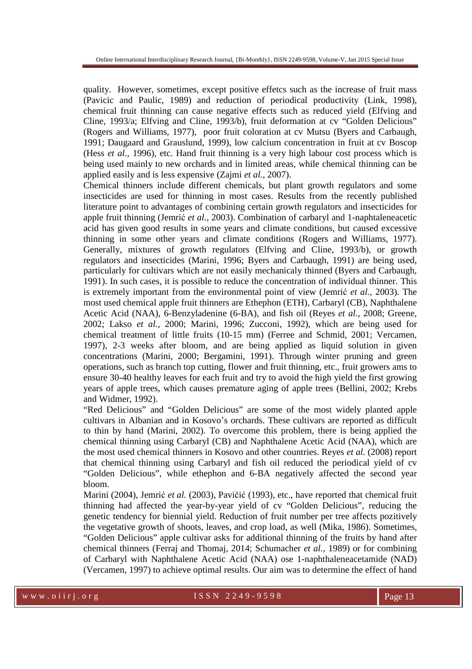quality. However, sometimes, except positive effetcs such as the increase of fruit mass (Pavicic and Paulic, 1989) and reduction of periodical productivity (Link, 1998), chemical fruit thinning can cause negative effects such as reduced yield (Elfving and Cline, 1993/a; Elfving and Cline, 1993/b), fruit deformation at cv "Golden Delicious" (Rogers and Williams, 1977), poor fruit coloration at cv Mutsu (Byers and Carbaugh, 1991; Daugaard and Grauslund, 1999), low calcium concentration in fruit at cv Boscop (Hess *et al.,* 1996), etc. Hand fruit thinning is a very high labour cost process which is being used mainly to new orchards and in limited areas, while chemical thinning can be applied easily and is less expensive (Zajmi *et al.*, 2007).

Chemical thinners include different chemicals, but plant growth regulators and some insecticides are used for thinning in most cases. Results from the recently published literature point to advantages of combining certain growth regulators and insecticides for apple fruit thinning (Jemrić *et al.,* 2003). Combination of carbaryl and 1-naphtaleneacetic acid has given good results in some years and climate conditions, but caused excessive thinning in some other years and climate conditions (Rogers and Williams, 1977). Generally, mixtures of growth regulators (Elfving and Cline, 1993/b), or growth regulators and insecticides (Marini, 1996; Byers and Carbaugh, 1991) are being used, particularly for cultivars which are not easily mechanicaly thinned (Byers and Carbaugh, 1991). In such cases, it is possible to reduce the concentration of individual thinner. This is extremely important from the environmental point of view (Jemrić *et al.,* 2003). The most used chemical apple fruit thinners are Ethephon (ETH), Carbaryl (CB), Naphthalene Acetic Acid (NAA), 6-Benzyladenine (6-BA), and fish oil (Reyes *et al.,* 2008; Greene, 2002; Lakso *et al.,* 2000; Marini, 1996; Zucconi, 1992), which are being used for chemical treatment of little fruits (10-15 mm) (Ferree and Schmid, 2001; Vercamen, 1997), 2-3 weeks after bloom, and are being applied as liquid solution in given concentrations (Marini, 2000; Bergamini, 1991). Through winter pruning and green operations, such as branch top cutting, flower and fruit thinning, etc., fruit growers ams to ensure 30-40 healthy leaves for each fruit and try to avoid the high yield the first growing years of apple trees, which causes premature aging of apple trees (Bellini, 2002; Krebs and Widmer, 1992).

"Red Delicious" and "Golden Delicious" are some of the most widely planted apple cultivars in Albanian and in Kosovo's orchards. These cultivars are reported as difficult to thin by hand (Marini, 2002). To overcome this problem, there is being applied the chemical thinning using Carbaryl (CB) and Naphthalene Acetic Acid (NAA), which are the most used chemical thinners in Kosovo and other countries. Reyes *et al.* (2008) report that chemical thinning using Carbaryl and fish oil reduced the periodical yield of cv "Golden Delicious", while ethephon and 6-BA negatively affected the second year bloom.

Marini (2004), Jemrić *et al.* (2003), Pavičić (1993), etc., have reported that chemical fruit thinning had affected the year-by-year yield of cv "Golden Delicious", reducing the genetic tendency for biennial yield. Reduction of fruit number per tree affects pozitively the vegetative growth of shoots, leaves, and crop load, as well (Mika, 1986). Sometimes, "Golden Delicious" apple cultivar asks for additional thinning of the fruits by hand after chemical thinners (Ferraj and Thomaj, 2014; Schumacher *et al.,* 1989) or for combining of Carbaryl with Naphthalene Acetic Acid (NAA) ose 1-naphthaleneacetamide (NAD) (Vercamen, 1997) to achieve optimal results. Our aim was to determine the effect of hand

w w w . o i i r j . o r g i second to see ISSN 2249-9598 Page 13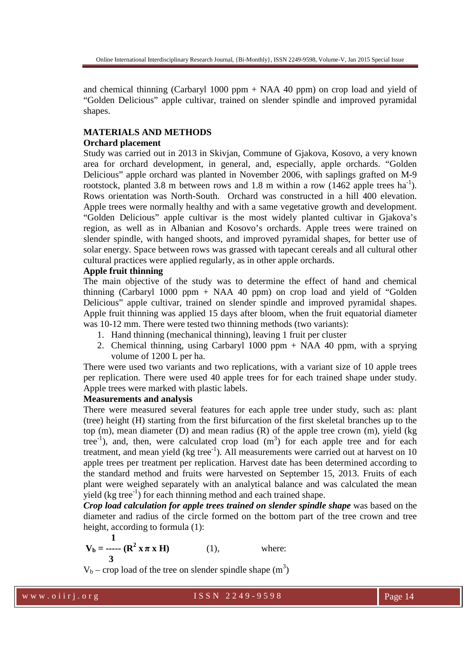Online International Interdisciplinary Research Journal, {Bi-Monthly}, ISSN 2249-9598, Volume-V, Jan 2015 Special Issue

and chemical thinning (Carbaryl 1000 ppm + NAA 40 ppm) on crop load and yield of "Golden Delicious" apple cultivar, trained on slender spindle and improved pyramidal shapes.

### **MATERIALS AND METHODS**

### **Orchard placement**

Study was carried out in 2013 in Skivjan, Commune of Gjakova, Kosovo, a very known area for orchard development, in general, and, especially, apple orchards. "Golden Delicious" apple orchard was planted in November 2006, with saplings grafted on M-9 rootstock, planted 3.8 m between rows and 1.8 m within a row  $(1462 \text{ apple trees ha}^{-1})$ . Rows orientation was North-South. Orchard was constructed in a hill 400 elevation. Apple trees were normally healthy and with a same vegetative growth and development. "Golden Delicious" apple cultivar is the most widely planted cultivar in Gjakova's region, as well as in Albanian and Kosovo's orchards. Apple trees were trained on slender spindle, with hanged shoots, and improved pyramidal shapes, for better use of solar energy. Space between rows was grassed with tapecant cereals and all cultural other cultural practices were applied regularly, as in other apple orchards.

#### **Apple fruit thinning**

The main objective of the study was to determine the effect of hand and chemical thinning (Carbaryl 1000 ppm  $+$  NAA 40 ppm) on crop load and yield of "Golden" Delicious" apple cultivar, trained on slender spindle and improved pyramidal shapes. Apple fruit thinning was applied 15 days after bloom, when the fruit equatorial diameter was 10-12 mm. There were tested two thinning methods (two variants):

- 1. Hand thinning (mechanical thinning), leaving 1 fruit per cluster
- 2. Chemical thinning, using Carbaryl 1000 ppm + NAA 40 ppm, with a sprying volume of 1200 L per ha.

There were used two variants and two replications, with a variant size of 10 apple trees per replication. There were used 40 apple trees for for each trained shape under study. Apple trees were marked with plastic labels.

## **Measurements and analysis**

There were measured several features for each apple tree under study, such as: plant (tree) height (H) starting from the first bifurcation of the first skeletal branches up to the top (m), mean diameter (D) and mean radius (R) of the apple tree crown (m), yield (kg tree<sup>-1</sup>), and, then, were calculated crop load  $(m<sup>3</sup>)$  for each apple tree and for each treatment, and mean yield (kg tree<sup>-1</sup>). All measurements were carried out at harvest on 10 apple trees per treatment per replication. Harvest date has been determined according to the standard method and fruits were harvested on September 15, 2013. Fruits of each plant were weighed separately with an analytical balance and was calculated the mean yield (kg tree<sup>-1</sup>) for each thinning method and each trained shape.

*Crop load calculation for apple trees trained on slender spindle shape* was based on the diameter and radius of the circle formed on the bottom part of the tree crown and tree height, according to formula (1):

$$
V_b =
$$
  $-\cdots$  ( $\mathbb{R}^2 \times \pi \times H$ ) (1), where:

 $V_b$  – crop load of the tree on slender spindle shape  $(m^3)$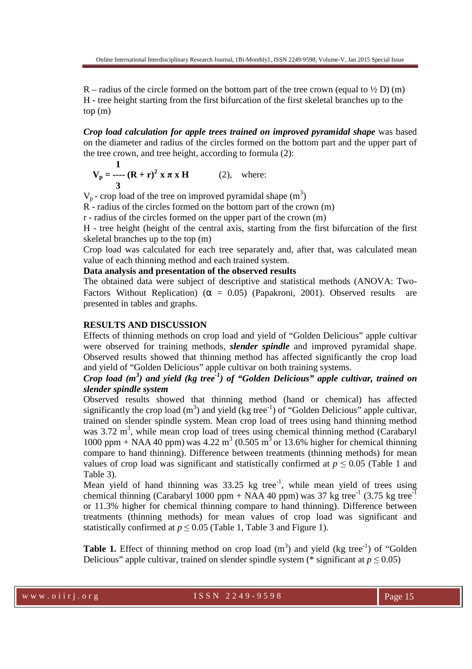R – radius of the circle formed on the bottom part of the tree crown (equal to  $\frac{1}{2}$  D) (m) H - tree height starting from the first bifurcation of the first skeletal branches up to the top (m)

*Crop load calculation for apple trees trained on improved pyramidal shape* was based on the diameter and radius of the circles formed on the bottom part and the upper part of the tree crown, and tree height, according to formula (2):

$$
V_p =
$$
 ----  $(R + r)^2 x \pi x H$  (2), where:

 $V_p$  - crop load of the tree on improved pyramidal shape  $(m^3)$ 

 $\overline{R}$  - radius of the circles formed on the bottom part of the crown (m)

r - radius of the circles formed on the upper part of the crown (m)

H - tree height (height of the central axis, starting from the first bifurcation of the first skeletal branches up to the top (m)

Crop load was calculated for each tree separately and, after that, was calculated mean value of each thinning method and each trained system.

**Data analysis and presentation of the observed results** 

The obtained data were subject of descriptive and statistical methods (ANOVA: Two-Factors Without Replication) ( $\alpha = 0.05$ ) (Papakroni, 2001). Observed results are presented in tables and graphs.

#### **RESULTS AND DISCUSSION**

Effects of thinning methods on crop load and yield of "Golden Delicious" apple cultivar were observed for training methods, *slender spindle* and improved pyramidal shape. Observed results showed that thinning method has affected significantly the crop load and yield of "Golden Delicious" apple cultivar on both training systems.

# *Crop load (m<sup>3</sup> ) and yield (kg tree-1) of "Golden Delicious" apple cultivar, trained on slender spindle system*

Observed results showed that thinning method (hand or chemical) has affected significantly the crop load  $(m^3)$  and yield (kg tree<sup>-1</sup>) of "Golden Delicious" apple cultivar, trained on slender spindle system. Mean crop load of trees using hand thinning method was 3.72 m<sup>3</sup>, while mean crop load of trees using chemical thinning method (Carabaryl 1000 ppm + NAA 40 ppm) was 4.22  $m^3$  (0.505  $m^3$  or 13.6% higher for chemical thinning compare to hand thinning). Difference between treatments (thinning methods) for mean values of crop load was significant and statistically confirmed at  $p \le 0.05$  (Table 1 and Table 3).

Mean yield of hand thinning was  $33.25$  kg tree<sup>-1</sup>, while mean yield of trees using chemical thinning (Carabaryl 1000 ppm + NAA 40 ppm) was 37 kg tree<sup>-1</sup> (3.75 kg tree<sup>-1</sup>) or 11.3% higher for chemical thinning compare to hand thinning). Difference between treatments (thinning methods) for mean values of crop load was significant and statistically confirmed at  $p \le 0.05$  (Table 1, Table 3 and Figure 1).

**Table 1.** Effect of thinning method on crop load  $(m^3)$  and yield (kg tree<sup>-1</sup>) of "Golden Delicious" apple cultivar, trained on slender spindle system (\* significant at  $p \le 0.05$ )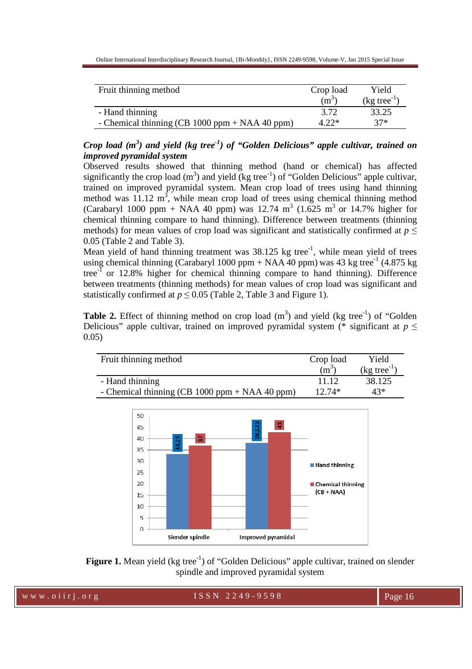| Fruit thinning method                            | Crop load | Yield                                    |
|--------------------------------------------------|-----------|------------------------------------------|
|                                                  | $(m^3)$   | $\left(\text{kg tree}^{\text{T}}\right)$ |
| - Hand thinning                                  | 3.72      | 33.25                                    |
| - Chemical thinning (CB $1000$ ppm + NAA 40 ppm) | 4.22*     | $37*$                                    |

*Crop load (m<sup>3</sup> ) and yield (kg tree-1) of "Golden Delicious" apple cultivar, trained on improved pyramidal system* 

Observed results showed that thinning method (hand or chemical) has affected significantly the crop load  $(m^3)$  and yield (kg tree<sup>-1</sup>) of "Golden Delicious" apple cultivar, trained on improved pyramidal system. Mean crop load of trees using hand thinning method was  $11.12 \text{ m}^3$ , while mean crop load of trees using chemical thinning method (Carabaryl 1000 ppm + NAA 40 ppm) was 12.74  $m^3$  (1.625  $m^3$  or 14.7% higher for chemical thinning compare to hand thinning). Difference between treatments (thinning methods) for mean values of crop load was significant and statistically confirmed at *p* ≤ 0.05 (Table 2 and Table 3).

Mean yield of hand thinning treatment was  $38.125$  kg tree<sup>-1</sup>, while mean yield of trees using chemical thinning (Carabaryl 1000 ppm + NAA 40 ppm) was 43 kg tree<sup>-1</sup> (4.875 kg) tree $^{-1}$  or 12.8% higher for chemical thinning compare to hand thinning). Difference between treatments (thinning methods) for mean values of crop load was significant and statistically confirmed at  $p \leq 0.05$  (Table 2, Table 3 and Figure 1).

**Table 2.** Effect of thinning method on crop load  $(m^3)$  and yield (kg tree<sup>-1</sup>) of "Golden Delicious" apple cultivar, trained on improved pyramidal system (\* significant at  $p \leq$ 0.05)

| Fruit thinning method                            | Crop load | Yield                |
|--------------------------------------------------|-----------|----------------------|
|                                                  | $(m^3)$   | $(kg \t{tree}^{-1})$ |
| - Hand thinning                                  | 11 12     | 38.125               |
| - Chemical thinning (CB $1000$ ppm + NAA 40 ppm) | $12.74*$  | $43*$                |



**Figure 1.** Mean yield (kg tree<sup>-1</sup>) of "Golden Delicious" apple cultivar, trained on slender spindle and improved pyramidal system

www.oiirj.org ISSN 2249-9598 Page 16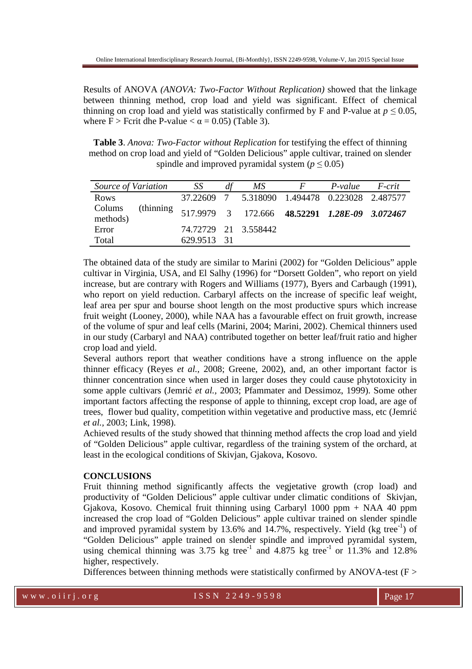Results of ANOVA *(ANOVA: Two-Factor Without Replication)* showed that the linkage between thinning method, crop load and yield was significant. Effect of chemical thinning on crop load and yield was statistically confirmed by F and P-value at  $p \le 0.05$ , where  $F >$  Fcrit dhe P-value  $< \alpha = 0.05$ ) (Table 3).

**Table 3**. *Anova: Two-Factor without Replication* for testifying the effect of thinning method on crop load and yield of "Golden Delicious" apple cultivar, trained on slender spindle and improved pyramidal system ( $p \le 0.05$ )

| Source of Variation |            | SS          | df | MS                                             | $\bm{F}$ | P-value | F-crit |
|---------------------|------------|-------------|----|------------------------------------------------|----------|---------|--------|
| Rows                |            |             |    | 37.22609 7 5.318090 1.494478 0.223028 2.487577 |          |         |        |
| Colums<br>methods)  | (thinning) |             |    | 517.9979 3 172.666 48.52291 1.28E-09 3.072467  |          |         |        |
| Error               |            |             |    | 74.72729 21 3.558442                           |          |         |        |
| Total               |            | 629.9513 31 |    |                                                |          |         |        |

The obtained data of the study are similar to Marini (2002) for "Golden Delicious" apple cultivar in Virginia, USA, and El Salhy (1996) for "Dorsett Golden", who report on yield increase, but are contrary with Rogers and Williams (1977), Byers and Carbaugh (1991), who report on yield reduction. Carbaryl affects on the increase of specific leaf weight, leaf area per spur and bourse shoot length on the most productive spurs which increase fruit weight (Looney, 2000), while NAA has a favourable effect on fruit growth, increase of the volume of spur and leaf cells (Marini, 2004; Marini, 2002). Chemical thinners used in our study (Carbaryl and NAA) contributed together on better leaf/fruit ratio and higher crop load and yield.

Several authors report that weather conditions have a strong influence on the apple thinner efficacy (Reyes *et al.,* 2008; Greene, 2002), and, an other important factor is thinner concentration since when used in larger doses they could cause phytotoxicity in some apple cultivars (Jemrić *et al.,* 2003; Pfammater and Dessimoz, 1999). Some other important factors affecting the response of apple to thinning, except crop load, are age of trees, flower bud quality, competition within vegetative and productive mass, etc (Jemrić *et al.,* 2003; Link, 1998).

Achieved results of the study showed that thinning method affects the crop load and yield of "Golden Delicious" apple cultivar, regardless of the training system of the orchard, at least in the ecological conditions of Skivjan, Gjakova, Kosovo.

#### **CONCLUSIONS**

Fruit thinning method significantly affects the vegjetative growth (crop load) and productivity of "Golden Delicious" apple cultivar under climatic conditions of Skivjan, Gjakova, Kosovo. Chemical fruit thinning using Carbaryl 1000 ppm + NAA 40 ppm increased the crop load of "Golden Delicious" apple cultivar trained on slender spindle and improved pyramidal system by  $13.6\%$  and  $14.7\%$ , respectively. Yield (kg tree<sup>-1</sup>) of "Golden Delicious" apple trained on slender spindle and improved pyramidal system, using chemical thinning was  $3.75 \text{ kg}$  tree<sup>-1</sup> and  $4.875 \text{ kg}$  tree<sup>-1</sup> or  $11.3\%$  and  $12.8\%$ higher, respectively.

Differences between thinning methods were statistically confirmed by ANOVA-test ( $F >$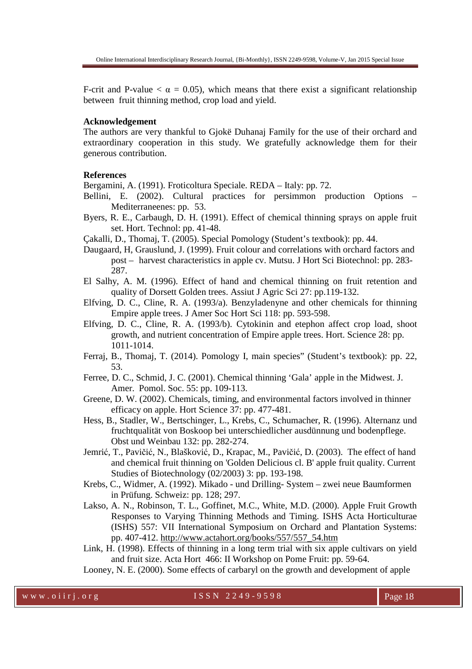F-crit and P-value  $\lt \alpha = 0.05$ , which means that there exist a significant relationship between fruit thinning method, crop load and yield.

#### **Acknowledgement**

The authors are very thankful to Gjokë Duhanaj Family for the use of their orchard and extraordinary cooperation in this study. We gratefully acknowledge them for their generous contribution.

#### **References**

Bergamini, A. (1991). Froticoltura Speciale. REDA – Italy: pp. 72.

- Bellini, E. (2002). Cultural practices for persimmon production Options Mediterraneenes: pp. 53.
- Byers, R. E., Carbaugh, D. H. (1991). Effect of chemical thinning sprays on apple fruit set. Hort. Technol: pp. 41-48.
- Çakalli, D., Thomaj, T. (2005). Special Pomology (Student's textbook): pp. 44.
- Daugaard, H, Grauslund, J. (1999). Fruit colour and correlations with orchard factors and post – harvest characteristics in apple cv. Mutsu. J Hort Sci Biotechnol: pp. 283- 287.
- El Salhy, A. M. (1996). Effect of hand and chemical thinning on fruit retention and quality of Dorsett Golden trees. Assiut J Agric Sci 27: pp.119-132.
- Elfving, D. C., Cline, R. A. (1993/a). Benzyladenyne and other chemicals for thinning Empire apple trees. J Amer Soc Hort Sci 118: pp. 593-598.
- Elfving, D. C., Cline, R. A. (1993/b). Cytokinin and etephon affect crop load, shoot growth, and nutrient concentration of Empire apple trees. Hort. Science 28: pp. 1011-1014.
- Ferraj, B., Thomaj, T. (2014). Pomology I, main species" (Student's textbook): pp. 22, 53.
- Ferree, D. C., Schmid, J. C. (2001). Chemical thinning 'Gala' apple in the Midwest. J. Amer. Pomol. Soc. 55: pp. 109-113.
- Greene, D. W. (2002). Chemicals, timing, and environmental factors involved in thinner efficacy on apple. Hort Science 37: pp. 477-481.
- Hess, B., Stadler, W., Bertschinger, L., Krebs, C., Schumacher, R. (1996). Alternanz und fruchtqualität von Boskoop bei unterschiedlicher ausdünnung und bodenpflege. Obst und Weinbau 132: pp. 282-274.
- Jemrić, T., Pavičić, N., Blašković, D., Krapac, M., Pavičić, D. (2003). The effect of hand and chemical fruit thinning on 'Golden Delicious cl. B' apple fruit quality. Current Studies of Biotechnology (02/2003) 3: pp. 193-198.
- Krebs, C., Widmer, A. (1992). Mikado und Drilling- System zwei neue Baumformen in Prüfung. Schweiz: pp. 128; 297.
- Lakso, A. N., Robinson, T. L., Goffinet, M.C., White, M.D. (2000). Apple Fruit Growth Responses to Varying Thinning Methods and Timing. ISHS Acta Horticulturae (ISHS) 557: VII International Symposium on Orchard and Plantation Systems: pp. 407-412. http://www.actahort.org/books/557/557\_54.htm
- Link, H. (1998). Effects of thinning in a long term trial with six apple cultivars on yield and fruit size. Acta Hort 466: II Workshop on Pome Fruit: pp. 59-64.

Looney, N. E. (2000). Some effects of carbaryl on the growth and development of apple

w w w . o i i r j . o r g i second to see ISSN 2249-9598 Page 18